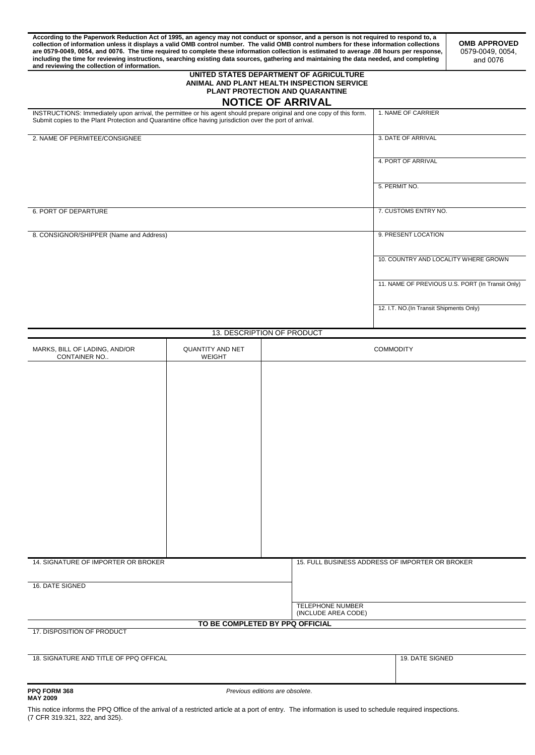**According to the Paperwork Reduction Act of 1995, an agency may not conduct or sponsor, and a person is not required to respond to, a collection of information unless it displays a valid OMB control number. The valid OMB control numbers for these information collections are 0579-0049, 0054, and 0076. The time required to complete these information collection is estimated to average .08 hours per response, including the time for reviewing instructions, searching existing data sources, gathering and maintaining the data needed, and completing and reviewing the collection of information.** 

**OMB APPROVED**  0579-0049, 0054, and 0076

#### **UNITED STATES DEPARTMENT OF AGRICULTURE ANIMAL AND PLANT HEALTH INSPECTION SERVICE PLANT PROTECTION AND QUARANTINE NOTICE OF ARRIVAL**

| INSTRUCTIONS: Immediately upon arrival, the permittee or his agent should prepare original and one copy of this form.<br>Submit copies to the Plant Protection and Quarantine office having jurisdiction over the port of arrival. | 1. NAME OF CARRIER                               |
|------------------------------------------------------------------------------------------------------------------------------------------------------------------------------------------------------------------------------------|--------------------------------------------------|
| 2. NAME OF PERMITEE/CONSIGNEE                                                                                                                                                                                                      | 3. DATE OF ARRIVAL                               |
|                                                                                                                                                                                                                                    | 4. PORT OF ARRIVAL                               |
|                                                                                                                                                                                                                                    | 5. PERMIT NO.                                    |
| 6. PORT OF DEPARTURE                                                                                                                                                                                                               | 7. CUSTOMS ENTRY NO.                             |
| 8. CONSIGNOR/SHIPPER (Name and Address)                                                                                                                                                                                            | 9. PRESENT LOCATION                              |
|                                                                                                                                                                                                                                    | 10. COUNTRY AND LOCALITY WHERE GROWN             |
|                                                                                                                                                                                                                                    | 11. NAME OF PREVIOUS U.S. PORT (In Transit Only) |
|                                                                                                                                                                                                                                    | 12. I.T. NO.(In Transit Shipments Only)          |

#### 13. DESCRIPTION OF PRODUCT

| MARKS, BILL OF LADING, AND/OR<br>CONTAINER NO                 | <b>QUANTITY AND NET</b><br><b>WEIGHT</b> | <b>COMMODITY</b>    |                                                 |                 |  |
|---------------------------------------------------------------|------------------------------------------|---------------------|-------------------------------------------------|-----------------|--|
|                                                               |                                          |                     |                                                 |                 |  |
|                                                               |                                          |                     |                                                 |                 |  |
|                                                               |                                          |                     |                                                 |                 |  |
|                                                               |                                          |                     |                                                 |                 |  |
|                                                               |                                          |                     |                                                 |                 |  |
|                                                               |                                          |                     |                                                 |                 |  |
|                                                               |                                          |                     |                                                 |                 |  |
|                                                               |                                          |                     |                                                 |                 |  |
|                                                               |                                          |                     |                                                 |                 |  |
|                                                               |                                          |                     |                                                 |                 |  |
|                                                               |                                          |                     |                                                 |                 |  |
|                                                               |                                          |                     |                                                 |                 |  |
| 14. SIGNATURE OF IMPORTER OR BROKER                           |                                          |                     | 15. FULL BUSINESS ADDRESS OF IMPORTER OR BROKER |                 |  |
|                                                               |                                          |                     |                                                 |                 |  |
| 16. DATE SIGNED                                               |                                          |                     |                                                 |                 |  |
|                                                               |                                          |                     | <b>TELEPHONE NUMBER</b>                         |                 |  |
|                                                               |                                          | (INCLUDE AREA CODE) |                                                 |                 |  |
| TO BE COMPLETED BY PPQ OFFICIAL<br>17. DISPOSITION OF PRODUCT |                                          |                     |                                                 |                 |  |
|                                                               |                                          |                     |                                                 |                 |  |
| 18. SIGNATURE AND TITLE OF PPQ OFFICAL                        |                                          |                     |                                                 | 19. DATE SIGNED |  |

**PPQ FORM 368** *Previous editions are obsolete*.

This notice informs the PPQ Office of the arrival of a restricted article at a port of entry. The information is used to schedule required inspections. (7 CFR 319.321, 322, and 325).